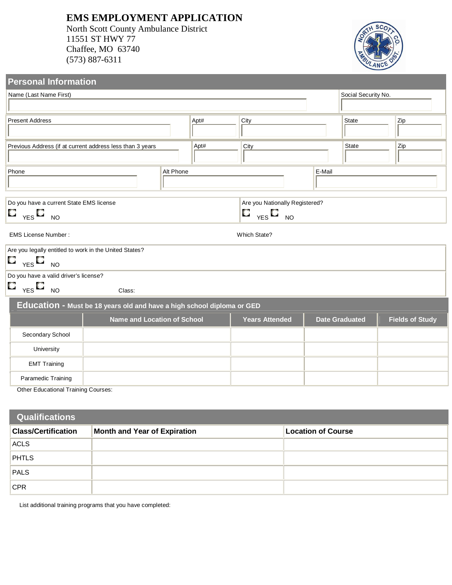### **EMS EMPLOYMENT APPLICATION**

North Scott County Ambulance District 11551 ST HWY 77 Chaffee, MO 63740 (573) 887-6311



| <b>Personal Information</b>                               |                                                                        |           |      |                                |                     |                       |                        |
|-----------------------------------------------------------|------------------------------------------------------------------------|-----------|------|--------------------------------|---------------------|-----------------------|------------------------|
| Name (Last Name First)                                    |                                                                        |           |      |                                | Social Security No. |                       |                        |
|                                                           |                                                                        |           |      |                                |                     |                       |                        |
| <b>Present Address</b>                                    |                                                                        |           | Apt# | City                           |                     | State                 | Zip                    |
|                                                           |                                                                        |           |      |                                |                     |                       |                        |
| Previous Address (if at current address less than 3 years |                                                                        |           | Apt# | City                           |                     | <b>State</b>          | $_{\rm Zip}$           |
|                                                           |                                                                        |           |      |                                |                     |                       |                        |
| Phone                                                     |                                                                        | Alt Phone |      |                                | E-Mail              |                       |                        |
|                                                           |                                                                        |           |      |                                |                     |                       |                        |
| Do you have a current State EMS license                   |                                                                        |           |      | Are you Nationally Registered? |                     |                       |                        |
| $\Box$ $_{\gamma$ es $\Box$ no                            |                                                                        |           |      | $\Box$ $_{\gamma$ es $\Box$ no |                     |                       |                        |
|                                                           |                                                                        |           |      |                                |                     |                       |                        |
| <b>EMS License Number:</b>                                |                                                                        |           |      | Which State?                   |                     |                       |                        |
| Are you legally entitled to work in the United States?    |                                                                        |           |      |                                |                     |                       |                        |
| $\blacksquare$<br><b>NO</b>                               |                                                                        |           |      |                                |                     |                       |                        |
|                                                           | Do you have a valid driver's license?                                  |           |      |                                |                     |                       |                        |
|                                                           | $\Box$ $_{\text{Yes}}$ $\Box$ $_{\text{NO}}$<br>Class:                 |           |      |                                |                     |                       |                        |
|                                                           | Education - Must be 18 years old and have a high school diploma or GED |           |      |                                |                     |                       |                        |
|                                                           | <b>Name and Location of School</b>                                     |           |      | <b>Years Attended</b>          |                     | <b>Date Graduated</b> | <b>Fields of Study</b> |
| Secondary School                                          |                                                                        |           |      |                                |                     |                       |                        |
| University                                                |                                                                        |           |      |                                |                     |                       |                        |
| <b>EMT Training</b>                                       |                                                                        |           |      |                                |                     |                       |                        |
| Paramedic Training                                        |                                                                        |           |      |                                |                     |                       |                        |
| <b>Other Educational Training Courses:</b>                |                                                                        |           |      |                                |                     |                       |                        |

| <b>Qualifications</b>      |                              |                           |  |  |  |
|----------------------------|------------------------------|---------------------------|--|--|--|
| <b>Class/Certification</b> | Month and Year of Expiration | <b>Location of Course</b> |  |  |  |
| <b>ACLS</b>                |                              |                           |  |  |  |
| <b>PHTLS</b>               |                              |                           |  |  |  |
| <b>PALS</b>                |                              |                           |  |  |  |
| <b>CPR</b>                 |                              |                           |  |  |  |

List additional training programs that you have completed: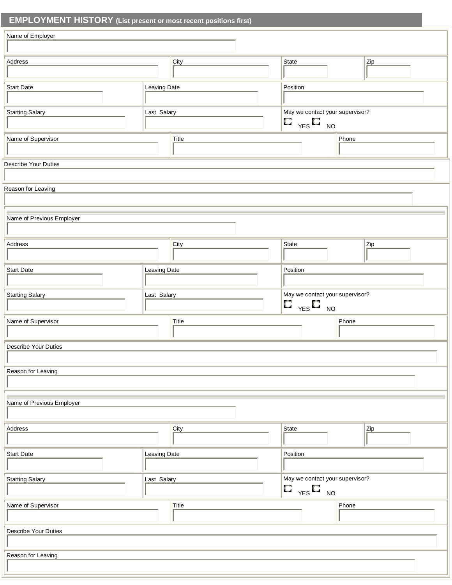# **EMPLOYMENT HISTORY (List present or most recent positions first)**

| Name of Employer                      |                     |       |                                                  |                                 |       |                 |  |
|---------------------------------------|---------------------|-------|--------------------------------------------------|---------------------------------|-------|-----------------|--|
| Address                               |                     | City  | State                                            |                                 |       | Zip             |  |
|                                       |                     |       |                                                  |                                 |       |                 |  |
| <b>Start Date</b>                     | <b>Leaving Date</b> |       | Position                                         |                                 |       |                 |  |
|                                       |                     |       |                                                  |                                 |       |                 |  |
| <b>Starting Salary</b>                | Last Salary         |       | May we contact your supervisor?                  |                                 |       |                 |  |
|                                       |                     |       | $\square$ $_{\gamma$ es $\square$ $_{\text{NO}}$ |                                 |       |                 |  |
| Name of Supervisor                    |                     | Title |                                                  |                                 | Phone |                 |  |
|                                       |                     |       |                                                  |                                 |       |                 |  |
| Describe Your Duties                  |                     |       |                                                  |                                 |       |                 |  |
|                                       |                     |       |                                                  |                                 |       |                 |  |
| Reason for Leaving                    |                     |       |                                                  |                                 |       |                 |  |
|                                       |                     |       |                                                  |                                 |       |                 |  |
| Name of Previous Employer             |                     |       |                                                  |                                 |       |                 |  |
|                                       |                     |       |                                                  |                                 |       |                 |  |
| Address                               |                     | City  | State                                            |                                 |       | $_{\rm Zip}$    |  |
|                                       |                     |       |                                                  |                                 |       |                 |  |
| <b>Start Date</b>                     | <b>Leaving Date</b> |       | Position                                         |                                 |       |                 |  |
|                                       |                     |       |                                                  |                                 |       |                 |  |
| <b>Starting Salary</b>                | Last Salary         |       |                                                  | May we contact your supervisor? |       |                 |  |
|                                       |                     |       | $\square$ $_{\gamma$ es $\square$ $_{\text{NO}}$ |                                 |       |                 |  |
| Name of Supervisor                    |                     | Title |                                                  |                                 | Phone |                 |  |
|                                       |                     |       |                                                  |                                 |       |                 |  |
| Describe Your Duties                  |                     |       |                                                  |                                 |       |                 |  |
|                                       |                     |       |                                                  |                                 |       |                 |  |
| Reason for Leaving                    |                     |       |                                                  |                                 |       |                 |  |
|                                       |                     |       |                                                  |                                 |       |                 |  |
| Name of Previous Employer             |                     |       |                                                  |                                 |       |                 |  |
|                                       |                     |       |                                                  |                                 |       |                 |  |
| Address                               |                     | City  | State                                            |                                 |       | $_{\text{zip}}$ |  |
|                                       |                     |       |                                                  |                                 |       |                 |  |
| <b>Start Date</b>                     | <b>Leaving Date</b> |       | Position                                         |                                 |       |                 |  |
|                                       |                     |       |                                                  |                                 |       |                 |  |
| <b>Starting Salary</b><br>Last Salary |                     |       |                                                  | May we contact your supervisor? |       |                 |  |
|                                       |                     |       | $\Box$ $_{\text{YES}}$ $\Box$ $_{\text{NO}}$     |                                 |       |                 |  |
| Name of Supervisor                    |                     | Title |                                                  |                                 | Phone |                 |  |
|                                       |                     |       |                                                  |                                 |       |                 |  |
| Describe Your Duties                  |                     |       |                                                  |                                 |       |                 |  |
|                                       |                     |       |                                                  |                                 |       |                 |  |
| Reason for Leaving                    |                     |       |                                                  |                                 |       |                 |  |
|                                       |                     |       |                                                  |                                 |       |                 |  |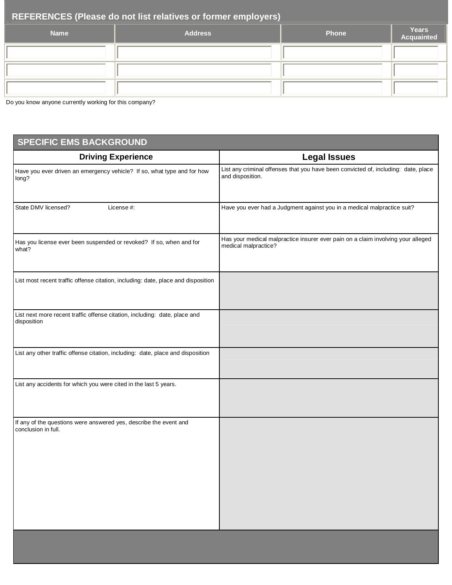# **REFERENCES (Please do not list relatives or former employers)**

| <b>Name</b> | <b>Address</b> | Phone | <b>Years</b><br>Acquainted |
|-------------|----------------|-------|----------------------------|
|             |                |       |                            |
|             |                |       |                            |
|             |                |       |                            |

Do you know anyone currently working for this company?

| <b>SPECIFIC EMS BACKGROUND</b>                                                            |                                                                                                          |  |  |  |  |
|-------------------------------------------------------------------------------------------|----------------------------------------------------------------------------------------------------------|--|--|--|--|
| <b>Driving Experience</b>                                                                 | <b>Legal Issues</b>                                                                                      |  |  |  |  |
| Have you ever driven an emergency vehicle? If so, what type and for how<br>long?          | List any criminal offenses that you have been convicted of, including: date, place<br>and disposition.   |  |  |  |  |
| State DMV licensed?<br>License #:                                                         | Have you ever had a Judgment against you in a medical malpractice suit?                                  |  |  |  |  |
| Has you license ever been suspended or revoked? If so, when and for<br>what?              | Has your medical malpractice insurer ever pain on a claim involving your alleged<br>medical malpractice? |  |  |  |  |
| List most recent traffic offense citation, including: date, place and disposition         |                                                                                                          |  |  |  |  |
| List next more recent traffic offense citation, including: date, place and<br>disposition |                                                                                                          |  |  |  |  |
| List any other traffic offense citation, including: date, place and disposition           |                                                                                                          |  |  |  |  |
| List any accidents for which you were cited in the last 5 years.                          |                                                                                                          |  |  |  |  |
| If any of the questions were answered yes, describe the event and<br>conclusion in full.  |                                                                                                          |  |  |  |  |
|                                                                                           |                                                                                                          |  |  |  |  |